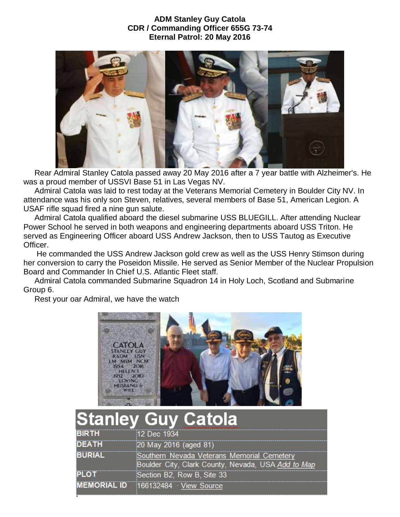## **ADM Stanley Guy Catola CDR / Commanding Officer 655G 73-74 Eternal Patrol: 20 May 2016**



 Rear Admiral Stanley Catola passed away 20 May 2016 after a 7 year battle with Alzheimer's. He was a proud member of USSVI Base 51 in Las Vegas NV.

 Admiral Catola was laid to rest today at the Veterans Memorial Cemetery in Boulder City NV. In attendance was his only son Steven, relatives, several members of Base 51, American Legion. A USAF rifle squad fired a nine gun salute.

 Admiral Catola qualified aboard the diesel submarine USS BLUEGILL. After attending Nuclear Power School he served in both weapons and engineering departments aboard USS Triton. He served as Engineering Officer aboard USS Andrew Jackson, then to USS Tautog as Executive Officer.

 He commanded the USS Andrew Jackson gold crew as well as the USS Henry Stimson during her conversion to carry the Poseidon Missile. He served as Senior Member of the Nuclear Propulsion Board and Commander In Chief U.S. Atlantic Fleet staff.

 Admiral Catola commanded Submarine Squadron 14 in Holy Loch, Scotland and Submarine Group 6.

Rest your oar Admiral, we have the watch



## **Stanley Guy Catola**

|              | 12 Dec 1934                                        |
|--------------|----------------------------------------------------|
| <b>IFATH</b> | 20 May 2016 (aged 81)                              |
| JRIAL.       | Southern Nevada Veterans Memorial Cemetery         |
|              | Boulder City, Clark County, Nevada, USA Add to Map |
|              | Section B2, Row B, Site 33                         |
| IFMORIAL ID  | 166132484 View Source                              |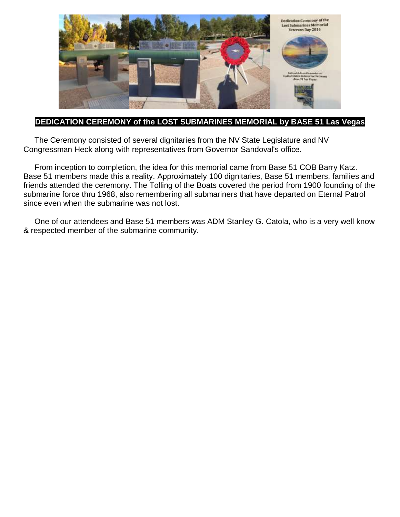

## **DEDICATION CEREMONY of the LOST SUBMARINES MEMORIAL by BASE 51 Las Vegas**

 The Ceremony consisted of several dignitaries from the NV State Legislature and NV Congressman Heck along with representatives from Governor Sandoval's office.

 From inception to completion, the idea for this memorial came from Base 51 COB Barry Katz. Base 51 members made this a reality. Approximately 100 dignitaries, Base 51 members, families and friends attended the ceremony. The Tolling of the Boats covered the period from 1900 founding of the submarine force thru 1968, also remembering all submariners that have departed on Eternal Patrol since even when the submarine was not lost.

 One of our attendees and Base 51 members was ADM Stanley G. Catola, who is a very well know & respected member of the submarine community.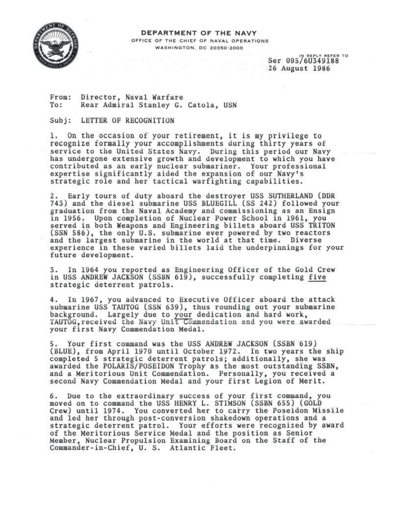

DEPARTMENT OF THE NAVY OFFICE OF THE CHIEF OF NAVAL OPERATIONS **WASHINGTON, DC 20350-2000** 

Ser 095/60349188

From: Director, Naval Warfare To: Rear Admiral Stanley G. Catola, USN

## Subj: LETTER OF RECOGNITION

1. On the occasion of your retirement, it is my privilege to recognize formally your accomplishments during thirty years of service to the United States Navy. During this period our Navy has undergone extensive growth and development to which you have contributed as an early nuclear submariner. Your professional expertise significantly aided the expansion of our Navy's strategic role and her tactical warfighting capabilities.

2. Early tours of duty aboard the destroyer USS SUTHERLAND (DDR 743) and the diesel submarine USS BLUEGILL (SS 242) followed your graduation from the Naval Academy and commissioning as an Ensign in 1956. Upon completion of Nuclear Power School in 1961, you served in both Weapons and Engineering billets aboard USS TRITON (SSN 586), the only U.S. submarine ever powered by two reactors and the largest submarine in the world at that time. Diverse experience in these varied billets laid the underpinnings for your future development.

In 1964 you reported as Engineering Officer of the Gold Crew 3. in USS ANDREW JACKSON (SSBN 619), successfully completing five strategic deterrent patrols.

4. In 1967, you advanced to Executive Officer aboard the attack submarine USS TAUTOG (SSN 639), thus rounding out your submarine background. Largely due to your dedication and hard work, TAUTOG, received the Navy Unit Commendation and you were awarded your first Navy Commendation Medal.

5. Your first command was the USS ANDREW JACKSON (SSBN 619) (BLUE), from April 1970 until October 1972. In two years the ship completed 5 strategic deterrent patrols; additionally, she was awarded the POLARIS/POSEIDON Trophy as the most outstanding SSBN, and a Meritorious Unit Commendation. Personally, you received a second Navy Commendation Medal and your first Legion of Merit.

6. Due to the extraordinary success of your first command, you moved on to command the USS HENRY L. STIMSON (SSBN 655) (GOLD Crew) until 1974. You converted her to carry the Poseidon Missile and led her through post-conversion shakedown operations and a strategic deterrent patrol. Your efforts were recognized by award of the Meritorious Service Medal and the position as Senior Member, Nuclear Propulsion Examining Board on the Staff of the Commander-in-Chief, U. S. Atlantic Fleet.